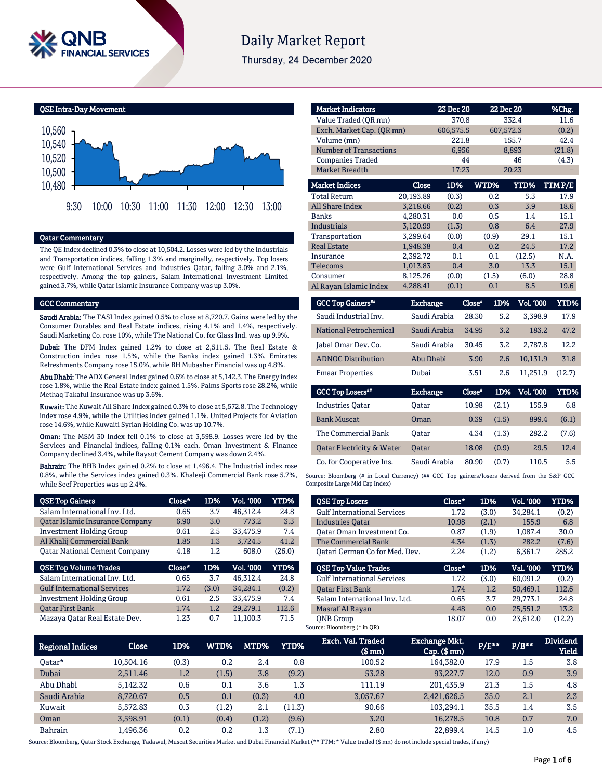

# **Daily Market Report**

Thursday, 24 December 2020



# Qatar Commentary

The QE Index declined 0.3% to close at 10,504.2. Losses were led by the Industrials and Transportation indices, falling 1.3% and marginally, respectively. Top losers were Gulf International Services and Industries Qatar, falling 3.0% and 2.1%, respectively. Among the top gainers, Salam International Investment Limited gained 3.7%, while Qatar Islamic Insurance Company was up 3.0%.

#### GCC Commentary

Saudi Arabia: The TASI Index gained 0.5% to close at 8,720.7. Gains were led by the Consumer Durables and Real Estate indices, rising 4.1% and 1.4%, respectively. Saudi Marketing Co. rose 10%, while The National Co. for Glass Ind. was up 9.9%.

Dubai: The DFM Index gained 1.2% to close at 2,511.5. The Real Estate & Construction index rose 1.5%, while the Banks index gained 1.3%. Emirates Refreshments Company rose 15.0%, while BH Mubasher Financial was up 4.8%.

Abu Dhabi: The ADX General Index gained 0.6% to close at 5,142.3. The Energy index rose 1.8%, while the Real Estate index gained 1.5%. Palms Sports rose 28.2%, while Methaq Takaful Insurance was up 3.6%.

Kuwait: The Kuwait All Share Index gained 0.3% to close at 5,572.8. The Technology index rose 4.9%, while the Utilities index gained 1.1%. United Projects for Aviation rose 14.6%, while Kuwaiti Syrian Holding Co. was up 10.7%.

Oman: The MSM 30 Index fell 0.1% to close at 3,598.9. Losses were led by the Services and Financial indices, falling 0.1% each. Oman Investment & Finance Company declined 3.4%, while Raysut Cement Company was down 2.4%.

Bahrain: The BHB Index gained 0.2% to close at 1,496.4. The Industrial index rose 0.8%, while the Services index gained 0.3%. Khaleeji Commercial Bank rose 5.7%, while Seef Properties was up 2.4%.

| <b>QSE Top Gainers</b>                 | Close* | 1D%   | Vol. '000 | YTD%   |
|----------------------------------------|--------|-------|-----------|--------|
| Salam International Inv. Ltd.          | 0.65   | 3.7   | 46,312.4  | 24.8   |
| <b>Qatar Islamic Insurance Company</b> | 6.90   | 3.0   | 773.2     | 3.3    |
| <b>Investment Holding Group</b>        | 0.61   | 2.5   | 33,475.9  | 7.4    |
| Al Khalij Commercial Bank              | 1.85   | 1.3   | 3,724.5   | 41.2   |
| <b>Oatar National Cement Company</b>   | 4.18   | 1.2   | 608.0     | (26.0) |
|                                        |        |       |           |        |
| <b>QSE Top Volume Trades</b>           | Close* | 1D%   | Vol. '000 | YTD%   |
| Salam International Inv. Ltd.          | 0.65   | 3.7   | 46.312.4  | 24.8   |
| <b>Gulf International Services</b>     | 1.72   | (3.0) | 34.284.1  | (0.2)  |
| <b>Investment Holding Group</b>        | 0.61   | 2.5   | 33.475.9  | 7.4    |
| <b>Oatar First Bank</b>                | 1.74   | 1.2   | 29,279.1  | 112.6  |

| <b>Market Indicators</b>               |                 | 23 Dec 20         |               | 22 Dec 20           | %Chg.          |
|----------------------------------------|-----------------|-------------------|---------------|---------------------|----------------|
| Value Traded (OR mn)                   |                 | 370.8             |               | 332.4               | 11.6           |
| Exch. Market Cap. (QR mn)              |                 | 606,575.5         |               | 607,572.3           | (0.2)          |
| Volume (mn)                            |                 | 221.8             |               | 155.7               | 42.4           |
| <b>Number of Transactions</b>          |                 | 6,956             |               | 8,893               | (21.8)         |
| <b>Companies Traded</b>                |                 | 44                |               | 46                  | (4.3)          |
| <b>Market Breadth</b>                  |                 | 17:23             |               | 20:23               |                |
| <b>Market Indices</b>                  | <b>Close</b>    | 1D%               | WTD%          | YTD%                | TTMP/E         |
| <b>Total Return</b>                    | 20,193.89       | (0.3)             | 0.2           | 5.3                 | 17.9           |
| <b>All Share Index</b>                 | 3,218.66        | (0.2)             | 0.3           | 3.9                 | 18.6           |
| <b>Banks</b>                           | 4.280.31        | 0.0               | 0.5           | 1.4                 | 15.1           |
| <b>Industrials</b>                     | 3,120.99        | (1.3)             | 0.8           | 6.4                 | 27.9           |
| Transportation                         | 3,299.64        | (0.0)             | (0.9)         | 29.1                | 15.1           |
| <b>Real Estate</b>                     | 1,948.38        | 0.4               | 0.2           | 24.5                | 17.2           |
| Insurance                              | 2,392.72        | 0.1               | 0.1           | (12.5)              | N.A.           |
| <b>Telecoms</b>                        | 1,013.83        | 0.4               | 3.0           | 13.3                | 15.1           |
| Consumer                               | 8,125.26        | (0.0)             | (1.5)         | (6.0)               | 28.8           |
| Al Rayan Islamic Index                 | 4,288.41        | (0.1)             | 0.1           | 8.5                 | 19.6           |
|                                        |                 |                   |               |                     |                |
| <b>GCC Top Gainers</b> <sup>##</sup>   | <b>Exchange</b> |                   | Close*<br>1D% | <b>Vol. '000</b>    | <b>YTD%</b>    |
| 0 - - - 11 T - - 1 - - 1 - 1 - 1 T - - |                 | $0.0013$ $0.0013$ | 00.70         | <b>PD</b><br>7.7000 | $1 \pi \Omega$ |

| Saudi Industrial Inv.     | Saudi Arabia | 28.30 | 5.2 | 3.398.9  | 17.9   |
|---------------------------|--------------|-------|-----|----------|--------|
| National Petrochemical    | Saudi Arabia | 34.95 | 3.2 | 183.2    | 47.2   |
| Jabal Omar Dev. Co.       | Saudi Arabia | 30.45 | 3.2 | 2.787.8  | 12.2   |
| <b>ADNOC Distribution</b> | Abu Dhabi    | 3.90  | 2.6 | 10.131.9 | 31.8   |
| <b>Emaar Properties</b>   | Dubai        | 3.51  | 2.6 | 11.251.9 | (12.7) |

| <b>GCC Top Losers</b> "              | <b>Exchange</b> | Close* | 1D%   | <b>Vol. '000</b> | YTD%  |
|--------------------------------------|-----------------|--------|-------|------------------|-------|
| <b>Industries Oatar</b>              | Oatar           | 10.98  | (2.1) | 155.9            | 6.8   |
| <b>Bank Muscat</b>                   | Oman            | 0.39   | (1.5) | 899.4            | (6.1) |
| The Commercial Bank                  | Oatar           | 4.34   | (1.3) | 282.2            | (7.6) |
| <b>Oatar Electricity &amp; Water</b> | Oatar           | 18.08  | (0.9) | 29.5             | 12.4  |
| Co. for Cooperative Ins.             | Saudi Arabia    | 80.90  | (0.7) | 110.5            | 5.5   |

Source: Bloomberg (# in Local Currency) (## GCC Top gainers/losers derived from the S&P GCC Composite Large Mid Cap Index)

| <b>QSE Top Losers</b>              | Close* | 1D%   | Vol. '000 | YTD%        |
|------------------------------------|--------|-------|-----------|-------------|
| <b>Gulf International Services</b> | 1.72   | (3.0) | 34.284.1  | (0.2)       |
| <b>Industries Oatar</b>            | 10.98  | (2.1) | 155.9     | 6.8         |
| Oatar Oman Investment Co.          | 0.87   | (1.9) | 1,087.4   | 30.0        |
| The Commercial Bank                | 4.34   | (1.3) | 282.2     | (7.6)       |
| Oatari German Co for Med. Dev.     | 2.24   | (1.2) | 6.361.7   | 285.2       |
|                                    |        |       |           |             |
| <b>OSE Top Value Trades</b>        | Close* | 1D%   | Val. '000 | <b>YTD%</b> |
| <b>Gulf International Services</b> | 1.72   | (3.0) | 60.091.2  | (0.2)       |
| <b>Oatar First Bank</b>            | 1.74   | 1.2   | 50.469.1  | 112.6       |
| Salam International Inv. Ltd.      | 0.65   | 3.7   | 29.773.1  | 24.8        |
| Masraf Al Rayan                    | 4.48   | 0.0   | 25.551.2  | 13.2        |

| <b>Regional Indices</b> | Close     | 1D%   | WTD%  | MTD%  | <b>YTD%</b> | Exch. Val. Traded<br>$$$ mm $)$ | Exchange Mkt.<br>$Cap.$ $(\$$ mn) | $P/E***$ | $P/B**$ | <b>Dividend</b><br><b>Yield</b> |
|-------------------------|-----------|-------|-------|-------|-------------|---------------------------------|-----------------------------------|----------|---------|---------------------------------|
| Oatar*                  | 10.504.16 | (0.3) | 0.2   | 2.4   | 0.8         | 100.52                          | 164.382.0                         | 17.9     | $1.5\,$ | 3.8                             |
| Dubai                   | 2.511.46  | 1.2   | (1.5) | 3.8   | (9.2)       | 53.28                           | 93.227.7                          | 12.0     | 0.9     | 3.9                             |
| Abu Dhabi               | 5.142.32  | 0.6   | 0.1   | 3.6   | 1.3         | 111.19                          | 201.435.9                         | 21.3     | 1.5     | 4.8                             |
| Saudi Arabia            | 8.720.67  | 0.5   | 0.1   | (0.3) | 4.0         | 3.057.67                        | 2,421,626.5                       | 35.0     | 2.1     | 2.3                             |
| Kuwait                  | 5.572.83  | 0.3   | (1.2) | 2.1   | (11.3)      | 90.66                           | 103.294.1                         | 35.5     | 1.4     | 3.5                             |
| Oman                    | 3.598.91  | (0.1) | (0.4) | (1.2) | (9.6)       | 3.20                            | 16.278.5                          | 10.8     | 0.7     | 7.0                             |
| <b>Bahrain</b>          | 1.496.36  | 0.2   | 0.2   | 1.3   | (7.1)       | 2.80                            | 22,899.4                          | 14.5     | 1.0     | 4.5                             |

Source: Bloomberg, Qatar Stock Exchange, Tadawul, Muscat Securities Market and Dubai Financial Market (\*\* TTM; \* Value traded (\$ mn) do not include special trades, if any)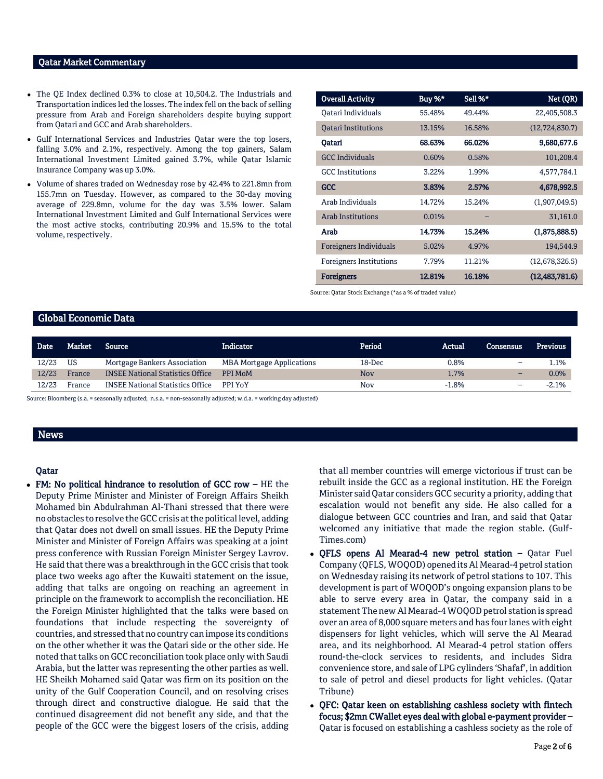## Qatar Market Commentary

- The QE Index declined 0.3% to close at 10,504.2. The Industrials and Transportation indices led the losses. The index fell on the back of selling pressure from Arab and Foreign shareholders despite buying support from Qatari and GCC and Arab shareholders.
- Gulf International Services and Industries Qatar were the top losers, falling 3.0% and 2.1%, respectively. Among the top gainers, Salam International Investment Limited gained 3.7%, while Qatar Islamic Insurance Company was up 3.0%.
- Volume of shares traded on Wednesday rose by 42.4% to 221.8mn from 155.7mn on Tuesday. However, as compared to the 30-day moving average of 229.8mn, volume for the day was 3.5% lower. Salam International Investment Limited and Gulf International Services were the most active stocks, contributing 20.9% and 15.5% to the total volume, respectively.

| <b>Overall Activity</b>        | Buy %* | Sell %* | Net (QR)         |
|--------------------------------|--------|---------|------------------|
| Oatari Individuals             | 55.48% | 49.44%  | 22,405,508.3     |
| <b>Oatari Institutions</b>     | 13.15% | 16.58%  | (12, 724, 830.7) |
| Oatari                         | 68.63% | 66.02%  | 9,680,677.6      |
| <b>GCC</b> Individuals         | 0.60%  | 0.58%   | 101,208.4        |
| <b>GCC</b> Institutions        | 3.22%  | 1.99%   | 4,577,784.1      |
| GCC                            | 3.83%  | 2.57%   | 4,678,992.5      |
| Arab Individuals               | 14.72% | 15.24%  | (1,907,049.5)    |
| <b>Arab Institutions</b>       | 0.01%  |         | 31,161.0         |
| Arab                           | 14.73% | 15.24%  | (1,875,888.5)    |
| <b>Foreigners Individuals</b>  | 5.02%  | 4.97%   | 194,544.9        |
| <b>Foreigners Institutions</b> | 7.79%  | 11.21%  | (12,678,326.5)   |
| <b>Foreigners</b>              | 12.81% | 16.18%  | (12, 483, 781.6) |

Source: Qatar Stock Exchange (\*as a % of traded value)

# Global Economic Data

| <b>Date</b> | Market | <b>Source</b>                           | Indicator                        | Period     | Actual  | <b>Consensus</b>         | <b>Previous</b> |
|-------------|--------|-----------------------------------------|----------------------------------|------------|---------|--------------------------|-----------------|
| 12/23       | US     | Mortgage Bankers Association            | <b>MBA Mortgage Applications</b> | 18-Dec     | 0.8%    | $\overline{\phantom{0}}$ | 1.1%            |
| 12/23       | France | <b>INSEE National Statistics Office</b> | PPI MoM                          | Nov        | 1.7%    | $\overline{\phantom{0}}$ | 0.0%            |
| 12/23       | France | <b>INSEE National Statistics Office</b> | PPI YoY                          | <b>Nov</b> | $-1.8%$ | -                        | $-2.1%$         |

Source: Bloomberg (s.a. = seasonally adjusted; n.s.a. = non-seasonally adjusted; w.d.a. = working day adjusted)

## News

## Qatar

 FM: No political hindrance to resolution of GCC row – HE the Deputy Prime Minister and Minister of Foreign Affairs Sheikh Mohamed bin Abdulrahman Al-Thani stressed that there were no obstacles to resolve the GCC crisis at the political level, adding that Qatar does not dwell on small issues. HE the Deputy Prime Minister and Minister of Foreign Affairs was speaking at a joint press conference with Russian Foreign Minister Sergey Lavrov. He said that there was a breakthrough in the GCC crisis that took place two weeks ago after the Kuwaiti statement on the issue, adding that talks are ongoing on reaching an agreement in principle on the framework to accomplish the reconciliation. HE the Foreign Minister highlighted that the talks were based on foundations that include respecting the sovereignty of countries, and stressed that no country can impose its conditions on the other whether it was the Qatari side or the other side. He noted that talks on GCC reconciliation took place only with Saudi Arabia, but the latter was representing the other parties as well. HE Sheikh Mohamed said Qatar was firm on its position on the unity of the Gulf Cooperation Council, and on resolving crises through direct and constructive dialogue. He said that the continued disagreement did not benefit any side, and that the people of the GCC were the biggest losers of the crisis, adding that all member countries will emerge victorious if trust can be rebuilt inside the GCC as a regional institution. HE the Foreign Minister said Qatar considers GCC security a priority, adding that escalation would not benefit any side. He also called for a dialogue between GCC countries and Iran, and said that Qatar welcomed any initiative that made the region stable. (Gulf-Times.com)

- QFLS opens Al Mearad-4 new petrol station Qatar Fuel Company (QFLS, WOQOD) opened its Al Mearad-4 petrol station on Wednesday raising its network of petrol stations to 107. This development is part of WOQOD's ongoing expansion plans to be able to serve every area in Qatar, the company said in a statement The new Al Mearad-4 WOQOD petrol station is spread over an area of 8,000 square meters and has four lanes with eight dispensers for light vehicles, which will serve the Al Mearad area, and its neighborhood. Al Mearad-4 petrol station offers round-the-clock services to residents, and includes Sidra convenience store, and sale of LPG cylinders 'Shafaf', in addition to sale of petrol and diesel products for light vehicles. (Qatar Tribune)
- QFC: Qatar keen on establishing cashless society with fintech focus; \$2mn CWallet eyes deal with global e-payment provider – Qatar is focused on establishing a cashless society as the role of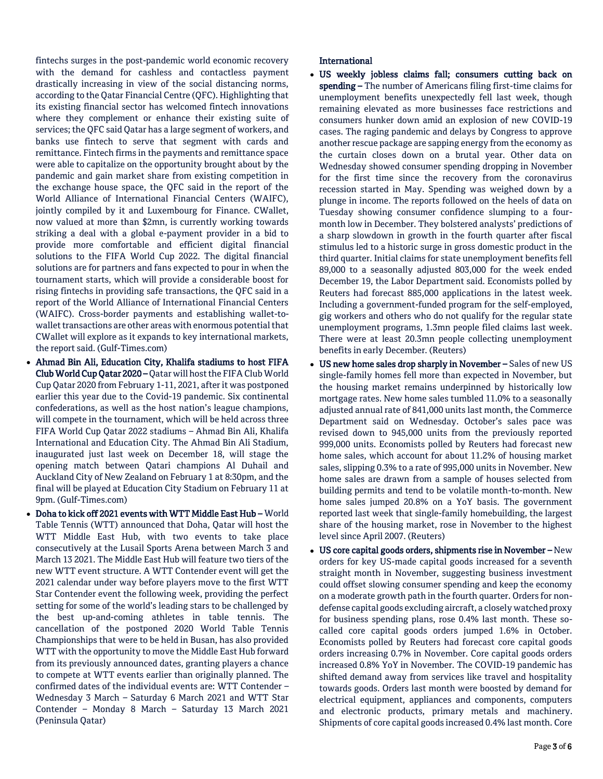fintechs surges in the post-pandemic world economic recovery with the demand for cashless and contactless payment drastically increasing in view of the social distancing norms, according to the Qatar Financial Centre (QFC). Highlighting that its existing financial sector has welcomed fintech innovations where they complement or enhance their existing suite of services; the QFC said Qatar has a large segment of workers, and banks use fintech to serve that segment with cards and remittance. Fintech firms in the payments and remittance space were able to capitalize on the opportunity brought about by the pandemic and gain market share from existing competition in the exchange house space, the QFC said in the report of the World Alliance of International Financial Centers (WAIFC), jointly compiled by it and Luxembourg for Finance. CWallet, now valued at more than \$2mn, is currently working towards striking a deal with a global e-payment provider in a bid to provide more comfortable and efficient digital financial solutions to the FIFA World Cup 2022. The digital financial solutions are for partners and fans expected to pour in when the tournament starts, which will provide a considerable boost for rising fintechs in providing safe transactions, the QFC said in a report of the World Alliance of International Financial Centers (WAIFC). Cross-border payments and establishing wallet-towallet transactions are other areas with enormous potential that CWallet will explore as it expands to key international markets, the report said. (Gulf-Times.com)

- Ahmad Bin Ali, Education City, Khalifa stadiums to host FIFA Club World Cup Qatar 2020 – Qatar will host the FIFA Club World Cup Qatar 2020 from February 1-11, 2021, after it was postponed earlier this year due to the Covid-19 pandemic. Six continental confederations, as well as the host nation's league champions, will compete in the tournament, which will be held across three FIFA World Cup Qatar 2022 stadiums – Ahmad Bin Ali, Khalifa International and Education City. The Ahmad Bin Ali Stadium, inaugurated just last week on December 18, will stage the opening match between Qatari champions Al Duhail and Auckland City of New Zealand on February 1 at 8:30pm, and the final will be played at Education City Stadium on February 11 at 9pm. (Gulf-Times.com)
- Doha to kick off 2021 events with WTT Middle East Hub World Table Tennis (WTT) announced that Doha, Qatar will host the WTT Middle East Hub, with two events to take place consecutively at the Lusail Sports Arena between March 3 and March 13 2021. The Middle East Hub will feature two tiers of the new WTT event structure. A WTT Contender event will get the 2021 calendar under way before players move to the first WTT Star Contender event the following week, providing the perfect setting for some of the world's leading stars to be challenged by the best up-and-coming athletes in table tennis. The cancellation of the postponed 2020 World Table Tennis Championships that were to be held in Busan, has also provided WTT with the opportunity to move the Middle East Hub forward from its previously announced dates, granting players a chance to compete at WTT events earlier than originally planned. The confirmed dates of the individual events are: WTT Contender – Wednesday 3 March – Saturday 6 March 2021 and WTT Star Contender – Monday 8 March – Saturday 13 March 2021 (Peninsula Qatar)

# **International**

- US weekly jobless claims fall; consumers cutting back on spending – The number of Americans filing first-time claims for unemployment benefits unexpectedly fell last week, though remaining elevated as more businesses face restrictions and consumers hunker down amid an explosion of new COVID-19 cases. The raging pandemic and delays by Congress to approve another rescue package are sapping energy from the economy as the curtain closes down on a brutal year. Other data on Wednesday showed consumer spending dropping in November for the first time since the recovery from the coronavirus recession started in May. Spending was weighed down by a plunge in income. The reports followed on the heels of data on Tuesday showing consumer confidence slumping to a fourmonth low in December. They bolstered analysts' predictions of a sharp slowdown in growth in the fourth quarter after fiscal stimulus led to a historic surge in gross domestic product in the third quarter. Initial claims for state unemployment benefits fell 89,000 to a seasonally adjusted 803,000 for the week ended December 19, the Labor Department said. Economists polled by Reuters had forecast 885,000 applications in the latest week. Including a government-funded program for the self-employed, gig workers and others who do not qualify for the regular state unemployment programs, 1.3mn people filed claims last week. There were at least 20.3mn people collecting unemployment benefits in early December. (Reuters)
- US new home sales drop sharply in November Sales of new US single-family homes fell more than expected in November, but the housing market remains underpinned by historically low mortgage rates. New home sales tumbled 11.0% to a seasonally adjusted annual rate of 841,000 units last month, the Commerce Department said on Wednesday. October's sales pace was revised down to 945,000 units from the previously reported 999,000 units. Economists polled by Reuters had forecast new home sales, which account for about 11.2% of housing market sales, slipping 0.3% to a rate of 995,000 units in November. New home sales are drawn from a sample of houses selected from building permits and tend to be volatile month-to-month. New home sales jumped 20.8% on a YoY basis. The government reported last week that single-family homebuilding, the largest share of the housing market, rose in November to the highest level since April 2007. (Reuters)
- US core capital goods orders, shipments rise in November New orders for key US-made capital goods increased for a seventh straight month in November, suggesting business investment could offset slowing consumer spending and keep the economy on a moderate growth path in the fourth quarter. Orders for nondefense capital goods excluding aircraft, a closely watched proxy for business spending plans, rose 0.4% last month. These socalled core capital goods orders jumped 1.6% in October. Economists polled by Reuters had forecast core capital goods orders increasing 0.7% in November. Core capital goods orders increased 0.8% YoY in November. The COVID-19 pandemic has shifted demand away from services like travel and hospitality towards goods. Orders last month were boosted by demand for electrical equipment, appliances and components, computers and electronic products, primary metals and machinery. Shipments of core capital goods increased 0.4% last month. Core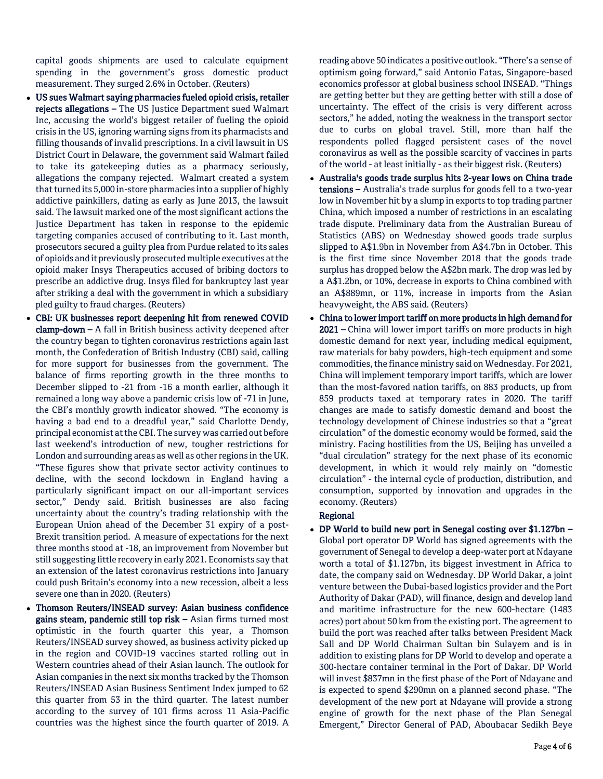capital goods shipments are used to calculate equipment spending in the government's gross domestic product measurement. They surged 2.6% in October. (Reuters)

- US sues Walmart saying pharmacies fueled opioid crisis, retailer rejects allegations – The US Justice Department sued Walmart Inc, accusing the world's biggest retailer of fueling the opioid crisis in the US, ignoring warning signs from its pharmacists and filling thousands of invalid prescriptions. In a civil lawsuit in US District Court in Delaware, the government said Walmart failed to take its gatekeeping duties as a pharmacy seriously, allegations the company rejected. Walmart created a system that turned its 5,000 in-store pharmacies into a supplier of highly addictive painkillers, dating as early as June 2013, the lawsuit said. The lawsuit marked one of the most significant actions the Justice Department has taken in response to the epidemic targeting companies accused of contributing to it. Last month, prosecutors secured a guilty plea from Purdue related to its sales of opioids and it previously prosecuted multiple executives at the opioid maker Insys Therapeutics accused of bribing doctors to prescribe an addictive drug. Insys filed for bankruptcy last year after striking a deal with the government in which a subsidiary pled guilty to fraud charges. (Reuters)
- CBI: UK businesses report deepening hit from renewed COVID clamp-down – A fall in British business activity deepened after the country began to tighten coronavirus restrictions again last month, the Confederation of British Industry (CBI) said, calling for more support for businesses from the government. The balance of firms reporting growth in the three months to December slipped to -21 from -16 a month earlier, although it remained a long way above a pandemic crisis low of -71 in June, the CBI's monthly growth indicator showed. "The economy is having a bad end to a dreadful year," said Charlotte Dendy, principal economist at the CBI. The survey was carried out before last weekend's introduction of new, tougher restrictions for London and surrounding areas as well as other regions in the UK. "These figures show that private sector activity continues to decline, with the second lockdown in England having a particularly significant impact on our all-important services sector," Dendy said. British businesses are also facing uncertainty about the country's trading relationship with the European Union ahead of the December 31 expiry of a post-Brexit transition period. A measure of expectations for the next three months stood at -18, an improvement from November but still suggesting little recovery in early 2021. Economists say that an extension of the latest coronavirus restrictions into January could push Britain's economy into a new recession, albeit a less severe one than in 2020. (Reuters)
- Thomson Reuters/INSEAD survey: Asian business confidence gains steam, pandemic still top risk – Asian firms turned most optimistic in the fourth quarter this year, a Thomson Reuters/INSEAD survey showed, as business activity picked up in the region and COVID-19 vaccines started rolling out in Western countries ahead of their Asian launch. The outlook for Asian companies in the next six months tracked by the Thomson Reuters/INSEAD Asian Business Sentiment Index jumped to 62 this quarter from 53 in the third quarter. The latest number according to the survey of 101 firms across 11 Asia-Pacific countries was the highest since the fourth quarter of 2019. A

reading above 50 indicates a positive outlook. "There's a sense of optimism going forward," said Antonio Fatas, Singapore-based economics professor at global business school INSEAD. "Things are getting better but they are getting better with still a dose of uncertainty. The effect of the crisis is very different across sectors," he added, noting the weakness in the transport sector due to curbs on global travel. Still, more than half the respondents polled flagged persistent cases of the novel coronavirus as well as the possible scarcity of vaccines in parts of the world - at least initially - as their biggest risk. (Reuters)

- Australia's goods trade surplus hits 2-year lows on China trade tensions - Australia's trade surplus for goods fell to a two-year low in November hit by a slump in exports to top trading partner China, which imposed a number of restrictions in an escalating trade dispute. Preliminary data from the Australian Bureau of Statistics (ABS) on Wednesday showed goods trade surplus slipped to A\$1.9bn in November from A\$4.7bn in October. This is the first time since November 2018 that the goods trade surplus has dropped below the A\$2bn mark. The drop was led by a A\$1.2bn, or 10%, decrease in exports to China combined with an A\$889mn, or 11%, increase in imports from the Asian heavyweight, the ABS said. (Reuters)
- China to lower import tariff on more products in high demand for 2021 – China will lower import tariffs on more products in high domestic demand for next year, including medical equipment, raw materials for baby powders, high-tech equipment and some commodities, the finance ministry said on Wednesday. For 2021, China will implement temporary import tariffs, which are lower than the most-favored nation tariffs, on 883 products, up from 859 products taxed at temporary rates in 2020. The tariff changes are made to satisfy domestic demand and boost the technology development of Chinese industries so that a "great circulation" of the domestic economy would be formed, said the ministry. Facing hostilities from the US, Beijing has unveiled a "dual circulation" strategy for the next phase of its economic development, in which it would rely mainly on "domestic circulation" - the internal cycle of production, distribution, and consumption, supported by innovation and upgrades in the economy. (Reuters)

# Regional

 DP World to build new port in Senegal costing over \$1.127bn – Global port operator DP World has signed agreements with the government of Senegal to develop a deep-water port at Ndayane worth a total of \$1.127bn, its biggest investment in Africa to date, the company said on Wednesday. DP World Dakar, a joint venture between the Dubai-based logistics provider and the Port Authority of Dakar (PAD), will finance, design and develop land and maritime infrastructure for the new 600-hectare (1483 acres) port about 50 km from the existing port. The agreement to build the port was reached after talks between President Mack Sall and DP World Chairman Sultan bin Sulayem and is in addition to existing plans for DP World to develop and operate a 300-hectare container terminal in the Port of Dakar. DP World will invest \$837mn in the first phase of the Port of Ndayane and is expected to spend \$290mn on a planned second phase. "The development of the new port at Ndayane will provide a strong engine of growth for the next phase of the Plan Senegal Emergent," Director General of PAD, Aboubacar Sedikh Beye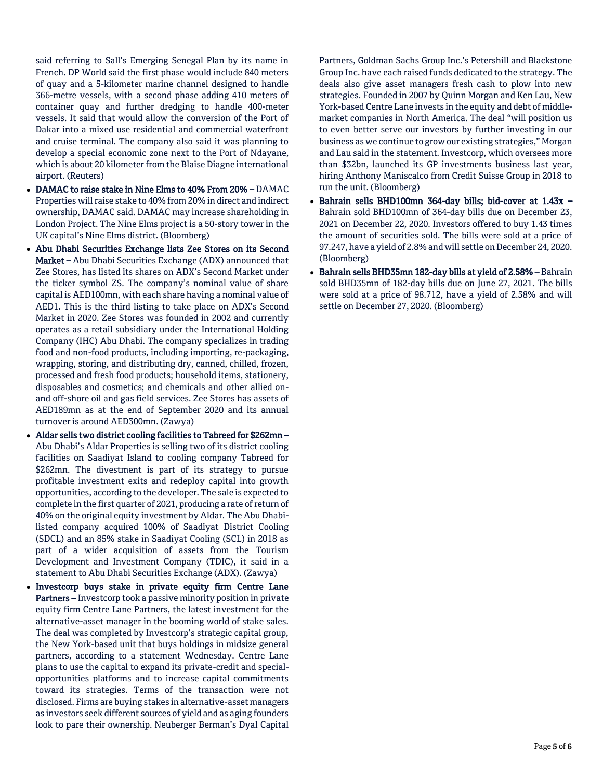said referring to Sall's Emerging Senegal Plan by its name in French. DP World said the first phase would include 840 meters of quay and a 5-kilometer marine channel designed to handle 366-metre vessels, with a second phase adding 410 meters of container quay and further dredging to handle 400-meter vessels. It said that would allow the conversion of the Port of Dakar into a mixed use residential and commercial waterfront and cruise terminal. The company also said it was planning to develop a special economic zone next to the Port of Ndayane, which is about 20 kilometer from the Blaise Diagne international airport. (Reuters)

- DAMAC to raise stake in Nine Elms to 40% From 20% DAMAC Properties will raise stake to 40% from 20% in direct and indirect ownership, DAMAC said. DAMAC may increase shareholding in London Project. The Nine Elms project is a 50-story tower in the UK capital's Nine Elms district. (Bloomberg)
- Abu Dhabi Securities Exchange lists Zee Stores on its Second Market – Abu Dhabi Securities Exchange (ADX) announced that Zee Stores, has listed its shares on ADX's Second Market under the ticker symbol ZS. The company's nominal value of share capital is AED100mn, with each share having a nominal value of AED1. This is the third listing to take place on ADX's Second Market in 2020. Zee Stores was founded in 2002 and currently operates as a retail subsidiary under the International Holding Company (IHC) Abu Dhabi. The company specializes in trading food and non-food products, including importing, re-packaging, wrapping, storing, and distributing dry, canned, chilled, frozen, processed and fresh food products; household items, stationery, disposables and cosmetics; and chemicals and other allied onand off-shore oil and gas field services. Zee Stores has assets of AED189mn as at the end of September 2020 and its annual turnover is around AED300mn. (Zawya)
- Aldar sells two district cooling facilities to Tabreed for \$262mn Abu Dhabi's Aldar Properties is selling two of its district cooling facilities on Saadiyat Island to cooling company Tabreed for \$262mn. The divestment is part of its strategy to pursue profitable investment exits and redeploy capital into growth opportunities, according to the developer. The sale is expected to complete in the first quarter of 2021, producing a rate of return of 40% on the original equity investment by Aldar. The Abu Dhabilisted company acquired 100% of Saadiyat District Cooling (SDCL) and an 85% stake in Saadiyat Cooling (SCL) in 2018 as part of a wider acquisition of assets from the Tourism Development and Investment Company (TDIC), it said in a statement to Abu Dhabi Securities Exchange (ADX). (Zawya)
- Investcorp buys stake in private equity firm Centre Lane Partners – Investcorp took a passive minority position in private equity firm Centre Lane Partners, the latest investment for the alternative-asset manager in the booming world of stake sales. The deal was completed by Investcorp's strategic capital group, the New York-based unit that buys holdings in midsize general partners, according to a statement Wednesday. Centre Lane plans to use the capital to expand its private-credit and specialopportunities platforms and to increase capital commitments toward its strategies. Terms of the transaction were not disclosed. Firms are buying stakes in alternative-asset managers as investors seek different sources of yield and as aging founders look to pare their ownership. Neuberger Berman's Dyal Capital

Partners, Goldman Sachs Group Inc.'s Petershill and Blackstone Group Inc. have each raised funds dedicated to the strategy. The deals also give asset managers fresh cash to plow into new strategies. Founded in 2007 by Quinn Morgan and Ken Lau, New York-based Centre Lane invests in the equity and debt of middlemarket companies in North America. The deal "will position us to even better serve our investors by further investing in our business as we continue to grow our existing strategies," Morgan and Lau said in the statement. Investcorp, which oversees more than \$32bn, launched its GP investments business last year, hiring Anthony Maniscalco from Credit Suisse Group in 2018 to run the unit. (Bloomberg)

- Bahrain sells BHD100mn 364-day bills; bid-cover at 1.43x Bahrain sold BHD100mn of 364-day bills due on December 23, 2021 on December 22, 2020. Investors offered to buy 1.43 times the amount of securities sold. The bills were sold at a price of 97.247, have a yield of 2.8% and will settle on December 24, 2020. (Bloomberg)
- Bahrain sells BHD35mn 182-day bills at yield of 2.58% Bahrain sold BHD35mn of 182-day bills due on June 27, 2021. The bills were sold at a price of 98.712, have a yield of 2.58% and will settle on December 27, 2020. (Bloomberg)